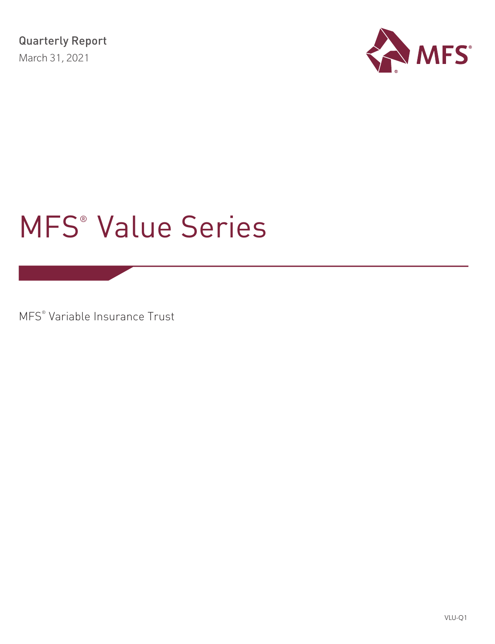

# MFS® Value Series

MFS® Variable Insurance Trust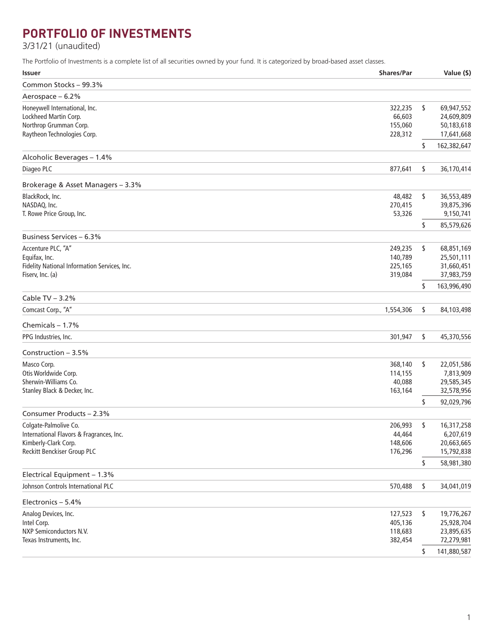## **PORTFOLIO OF INVESTMENTS**

3/31/21 (unaudited)

The Portfolio of Investments is a complete list of all securities owned by your fund. It is categorized by broad-based asset classes.

| <b>Issuer</b>                                | <b>Shares/Par</b> | Value (\$)        |
|----------------------------------------------|-------------------|-------------------|
| Common Stocks - 99.3%                        |                   |                   |
| Aerospace - 6.2%                             |                   |                   |
| Honeywell International, Inc.                | 322,235           | \$<br>69,947,552  |
| Lockheed Martin Corp.                        | 66,603            | 24,609,809        |
| Northrop Grumman Corp.                       | 155,060           | 50,183,618        |
| Raytheon Technologies Corp.                  | 228,312           | 17,641,668        |
|                                              |                   | \$<br>162,382,647 |
| Alcoholic Beverages - 1.4%                   |                   |                   |
| Diageo PLC                                   | 877,641           | \$<br>36,170,414  |
| Brokerage & Asset Managers - 3.3%            |                   |                   |
| BlackRock, Inc.                              | 48,482            | \$<br>36,553,489  |
| NASDAQ, Inc.                                 | 270,415           | 39,875,396        |
| T. Rowe Price Group, Inc.                    | 53,326            | 9,150,741         |
|                                              |                   | \$<br>85,579,626  |
| <b>Business Services - 6.3%</b>              |                   |                   |
| Accenture PLC, "A"                           | 249,235           | \$<br>68,851,169  |
| Equifax, Inc.                                | 140,789           | 25,501,111        |
| Fidelity National Information Services, Inc. | 225,165           | 31,660,451        |
| Fiserv, Inc. (a)                             | 319,084           | 37,983,759        |
|                                              |                   | \$<br>163,996,490 |
| Cable TV $-3.2%$                             |                   |                   |
| Comcast Corp., "A"                           | 1,554,306         | \$<br>84,103,498  |
| Chemicals $-1.7%$                            |                   |                   |
| PPG Industries, Inc.                         | 301,947           | \$<br>45,370,556  |
| Construction $-3.5%$                         |                   |                   |
| Masco Corp.                                  | 368,140           | \$<br>22,051,586  |
| Otis Worldwide Corp.                         | 114,155           | 7,813,909         |
| Sherwin-Williams Co.                         | 40,088            | 29,585,345        |
| Stanley Black & Decker, Inc.                 | 163,164           | 32,578,956        |
|                                              |                   | \$<br>92,029,796  |
| Consumer Products - 2.3%                     |                   |                   |
| Colgate-Palmolive Co.                        | 206,993           | \$<br>16,317,258  |
| International Flavors & Fragrances, Inc.     | 44,464            | 6,207,619         |
| Kimberly-Clark Corp.                         | 148,606           | 20,663,665        |
| Reckitt Benckiser Group PLC                  | 176,296           | 15,792,838        |
|                                              |                   | \$<br>58,981,380  |
| Electrical Equipment - 1.3%                  |                   |                   |
| Johnson Controls International PLC           | 570,488           | \$<br>34,041,019  |
| Electronics - 5.4%                           |                   |                   |
| Analog Devices, Inc.                         | 127,523           | \$<br>19,776,267  |
| Intel Corp.                                  | 405,136           | 25,928,704        |
| NXP Semiconductors N.V.                      | 118,683           | 23,895,635        |
| Texas Instruments, Inc.                      | 382,454           | 72,279,981        |
|                                              |                   | \$<br>141,880,587 |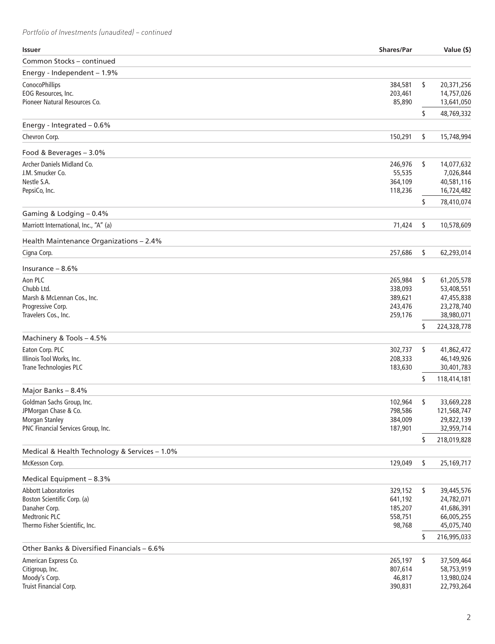## *Portfolio of Investments (unaudited) – continued*

| <b>Issuer</b>                                                    | <b>Shares/Par</b>  | Value (\$)                     |
|------------------------------------------------------------------|--------------------|--------------------------------|
| Common Stocks - continued                                        |                    |                                |
| Energy - Independent - 1.9%                                      |                    |                                |
| ConocoPhillips                                                   | 384,581            | \$<br>20,371,256               |
| EOG Resources, Inc.                                              | 203,461            | 14,757,026                     |
| Pioneer Natural Resources Co.                                    | 85,890             | 13,641,050                     |
|                                                                  |                    | \$<br>48,769,332               |
| Energy - Integrated - 0.6%                                       |                    |                                |
| Chevron Corp.                                                    | 150,291            | \$<br>15,748,994               |
| Food & Beverages - 3.0%                                          |                    |                                |
| Archer Daniels Midland Co.                                       | 246,976            | \$<br>14,077,632               |
| J.M. Smucker Co.                                                 | 55,535             | 7,026,844                      |
| Nestle S.A.                                                      | 364,109            | 40,581,116                     |
| PepsiCo, Inc.                                                    | 118,236            | 16,724,482                     |
|                                                                  |                    | \$<br>78,410,074               |
| Gaming & Lodging - 0.4%<br>Marriott International, Inc., "A" (a) | 71,424             | \$<br>10,578,609               |
|                                                                  |                    |                                |
| Health Maintenance Organizations - 2.4%                          |                    |                                |
| Cigna Corp.                                                      | 257,686            | \$<br>62,293,014               |
| Insurance $-8.6%$                                                |                    |                                |
| Aon PLC                                                          | 265,984            | \$<br>61,205,578               |
| Chubb Ltd.                                                       | 338,093            | 53,408,551                     |
| Marsh & McLennan Cos., Inc.                                      | 389,621            | 47,455,838                     |
| Progressive Corp.                                                | 243,476            | 23,278,740<br>38,980,071       |
| Travelers Cos., Inc.                                             | 259,176            | \$<br>224,328,778              |
| Machinery & Tools - 4.5%                                         |                    |                                |
| Eaton Corp. PLC                                                  | 302,737            | \$<br>41,862,472               |
| Illinois Tool Works, Inc.                                        | 208,333            | 46,149,926                     |
| Trane Technologies PLC                                           | 183,630            | 30,401,783                     |
|                                                                  |                    | \$<br>118,414,181              |
| Major Banks - 8.4%                                               |                    |                                |
| Goldman Sachs Group, Inc.                                        | 102,964            | \$<br>33,669,228               |
| JPMorgan Chase & Co.                                             | 798,586            | 121,568,747                    |
| Morgan Stanley                                                   | 384,009            | 29,822,139                     |
| PNC Financial Services Group, Inc.                               | 187,901            | 32,959,714                     |
| Medical & Health Technology & Services - 1.0%                    |                    | \$<br>218,019,828              |
| McKesson Corp.                                                   | 129,049            | \$<br>25,169,717               |
|                                                                  |                    |                                |
| Medical Equipment - 8.3%                                         |                    |                                |
| <b>Abbott Laboratories</b><br>Boston Scientific Corp. (a)        | 329,152<br>641,192 | \$<br>39,445,576<br>24,782,071 |
| Danaher Corp.                                                    | 185,207            | 41,686,391                     |
| <b>Medtronic PLC</b>                                             | 558,751            | 66,005,255                     |
| Thermo Fisher Scientific, Inc.                                   | 98,768             | 45,075,740                     |
|                                                                  |                    | \$<br>216,995,033              |
| Other Banks & Diversified Financials - 6.6%                      |                    |                                |
| American Express Co.                                             | 265,197            | \$<br>37,509,464               |
| Citigroup, Inc.                                                  | 807,614            | 58,753,919                     |
| Moody's Corp.<br>Truist Financial Corp.                          | 46,817<br>390,831  | 13,980,024<br>22,793,264       |
|                                                                  |                    |                                |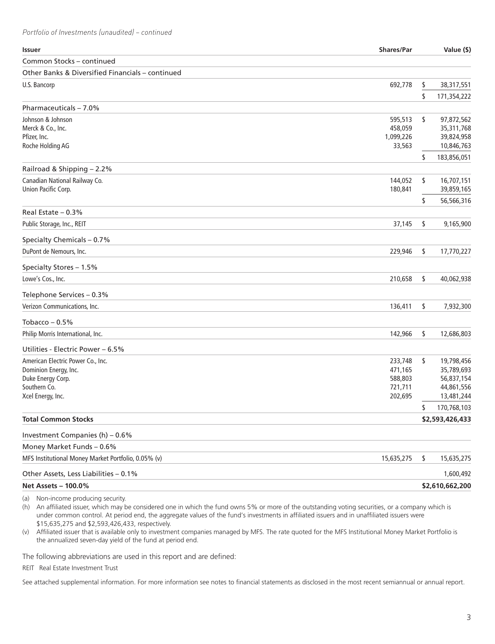| <b>Issuer</b>                                       | <b>Shares/Par</b> | Value (\$)        |
|-----------------------------------------------------|-------------------|-------------------|
| Common Stocks - continued                           |                   |                   |
| Other Banks & Diversified Financials - continued    |                   |                   |
| U.S. Bancorp                                        | 692,778           | \$<br>38,317,551  |
|                                                     |                   | \$<br>171,354,222 |
| Pharmaceuticals - 7.0%                              |                   |                   |
| Johnson & Johnson                                   | 595,513           | \$<br>97,872,562  |
| Merck & Co., Inc.                                   | 458,059           | 35,311,768        |
| Pfizer, Inc.                                        | 1,099,226         | 39,824,958        |
| Roche Holding AG                                    | 33,563            | 10,846,763        |
|                                                     |                   | \$<br>183,856,051 |
| Railroad & Shipping - 2.2%                          |                   |                   |
| Canadian National Railway Co.                       | 144,052           | \$<br>16,707,151  |
| Union Pacific Corp.                                 | 180,841           | 39,859,165        |
|                                                     |                   | \$<br>56,566,316  |
| Real Estate $-0.3%$                                 |                   |                   |
| Public Storage, Inc., REIT                          | 37,145            | \$<br>9,165,900   |
| Specialty Chemicals - 0.7%                          |                   |                   |
| DuPont de Nemours, Inc.                             | 229,946           | \$<br>17,770,227  |
| Specialty Stores - 1.5%                             |                   |                   |
| Lowe's Cos., Inc.                                   | 210,658           | \$<br>40,062,938  |
| Telephone Services - 0.3%                           |                   |                   |
| Verizon Communications, Inc.                        | 136,411           | \$<br>7,932,300   |
| Tobacco $-0.5%$                                     |                   |                   |
| Philip Morris International, Inc.                   | 142,966           | \$<br>12,686,803  |
| Utilities - Electric Power – 6.5%                   |                   |                   |
| American Electric Power Co., Inc.                   | 233,748           | \$<br>19,798,456  |
| Dominion Energy, Inc.                               | 471,165           | 35,789,693        |
| Duke Energy Corp.                                   | 588,803           | 56,837,154        |
| Southern Co.                                        | 721,711           | 44,861,556        |
| Xcel Energy, Inc.                                   | 202,695           | 13,481,244        |
|                                                     |                   | \$<br>170,768,103 |
| <b>Total Common Stocks</b>                          |                   | \$2,593,426,433   |
| Investment Companies (h) - 0.6%                     |                   |                   |
| Money Market Funds - 0.6%                           |                   |                   |
| MFS Institutional Money Market Portfolio, 0.05% (v) | 15,635,275        | \$<br>15,635,275  |
| Other Assets, Less Liabilities - 0.1%               |                   | 1,600,492         |
| Net Assets - 100.0%                                 |                   | \$2,610,662,200   |

(a) Non-income producing security.

(h) An affiliated issuer, which may be considered one in which the fund owns 5% or more of the outstanding voting securities, or a company which is under common control. At period end, the aggregate values of the fund's investments in affiliated issuers and in unaffiliated issuers were \$15,635,275 and \$2,593,426,433, respectively.

(v) Affiliated issuer that is available only to investment companies managed by MFS. The rate quoted for the MFS Institutional Money Market Portfolio is the annualized seven-day yield of the fund at period end.

The following abbreviations are used in this report and are defined:

REIT Real Estate Investment Trust

See attached supplemental information. For more information see notes to financial statements as disclosed in the most recent semiannual or annual report.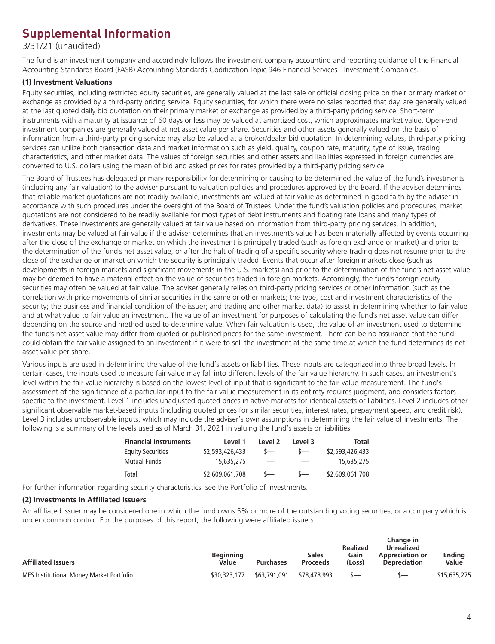## **Supplemental Information**

3/31/21 (unaudited)

The fund is an investment company and accordingly follows the investment company accounting and reporting guidance of the Financial Accounting Standards Board (FASB) Accounting Standards Codification Topic 946 Financial Services - Investment Companies.

### **(1) Investment Valuations**

Equity securities, including restricted equity securities, are generally valued at the last sale or official closing price on their primary market or exchange as provided by a third-party pricing service. Equity securities, for which there were no sales reported that day, are generally valued at the last quoted daily bid quotation on their primary market or exchange as provided by a third-party pricing service. Short-term instruments with a maturity at issuance of 60 days or less may be valued at amortized cost, which approximates market value. Open-end investment companies are generally valued at net asset value per share. Securities and other assets generally valued on the basis of information from a third-party pricing service may also be valued at a broker/dealer bid quotation. In determining values, third-party pricing services can utilize both transaction data and market information such as yield, quality, coupon rate, maturity, type of issue, trading characteristics, and other market data. The values of foreign securities and other assets and liabilities expressed in foreign currencies are converted to U.S. dollars using the mean of bid and asked prices for rates provided by a third-party pricing service.

The Board of Trustees has delegated primary responsibility for determining or causing to be determined the value of the fund's investments (including any fair valuation) to the adviser pursuant to valuation policies and procedures approved by the Board. If the adviser determines that reliable market quotations are not readily available, investments are valued at fair value as determined in good faith by the adviser in accordance with such procedures under the oversight of the Board of Trustees. Under the fund's valuation policies and procedures, market quotations are not considered to be readily available for most types of debt instruments and floating rate loans and many types of derivatives. These investments are generally valued at fair value based on information from third-party pricing services. In addition, investments may be valued at fair value if the adviser determines that an investment's value has been materially affected by events occurring after the close of the exchange or market on which the investment is principally traded (such as foreign exchange or market) and prior to the determination of the fund's net asset value, or after the halt of trading of a specific security where trading does not resume prior to the close of the exchange or market on which the security is principally traded. Events that occur after foreign markets close (such as developments in foreign markets and significant movements in the U.S. markets) and prior to the determination of the fund's net asset value may be deemed to have a material effect on the value of securities traded in foreign markets. Accordingly, the fund's foreign equity securities may often be valued at fair value. The adviser generally relies on third-party pricing services or other information (such as the correlation with price movements of similar securities in the same or other markets; the type, cost and investment characteristics of the security; the business and financial condition of the issuer; and trading and other market data) to assist in determining whether to fair value and at what value to fair value an investment. The value of an investment for purposes of calculating the fund's net asset value can differ depending on the source and method used to determine value. When fair valuation is used, the value of an investment used to determine the fund's net asset value may differ from quoted or published prices for the same investment. There can be no assurance that the fund could obtain the fair value assigned to an investment if it were to sell the investment at the same time at which the fund determines its net asset value per share.

Various inputs are used in determining the value of the fund's assets or liabilities. These inputs are categorized into three broad levels. In certain cases, the inputs used to measure fair value may fall into different levels of the fair value hierarchy. In such cases, an investment's level within the fair value hierarchy is based on the lowest level of input that is significant to the fair value measurement. The fund's assessment of the significance of a particular input to the fair value measurement in its entirety requires judgment, and considers factors specific to the investment. Level 1 includes unadjusted quoted prices in active markets for identical assets or liabilities. Level 2 includes other significant observable market-based inputs (including quoted prices for similar securities, interest rates, prepayment speed, and credit risk). Level 3 includes unobservable inputs, which may include the adviser's own assumptions in determining the fair value of investments. The following is a summary of the levels used as of March 31, 2021 in valuing the fund's assets or liabilities:

| <b>Financial Instruments</b> | Level 1         | Level 2 | Level 3 | Total           |
|------------------------------|-----------------|---------|---------|-----------------|
| <b>Equity Securities</b>     | \$2,593,426,433 | $\sim$  |         | \$2,593,426,433 |
| Mutual Funds                 | 15,635,275      |         |         | 15,635,275      |
| Total                        | \$2,609,061,708 |         |         | \$2,609,061,708 |

For further information regarding security characteristics, see the Portfolio of Investments.

#### **(2) Investments in Affiliated Issuers**

An affiliated issuer may be considered one in which the fund owns 5% or more of the outstanding voting securities, or a company which is under common control. For the purposes of this report, the following were affiliated issuers:

| <b>Affiliated Issuers</b>                | <b>Beginning</b><br>Value | <b>Purchases</b> | <b>Sales</b><br><b>Proceeds</b> | <b>Realized</b><br>Gain<br>(Loss) | Change in<br>Unrealized<br><b>Appreciation or</b><br><b>Depreciation</b> | <b>Ending</b><br>Value |
|------------------------------------------|---------------------------|------------------|---------------------------------|-----------------------------------|--------------------------------------------------------------------------|------------------------|
| MFS Institutional Money Market Portfolio | \$30,323,177              | \$63,791,091     | \$78,478,993                    | $S-$                              | \—                                                                       | \$15,635,275           |